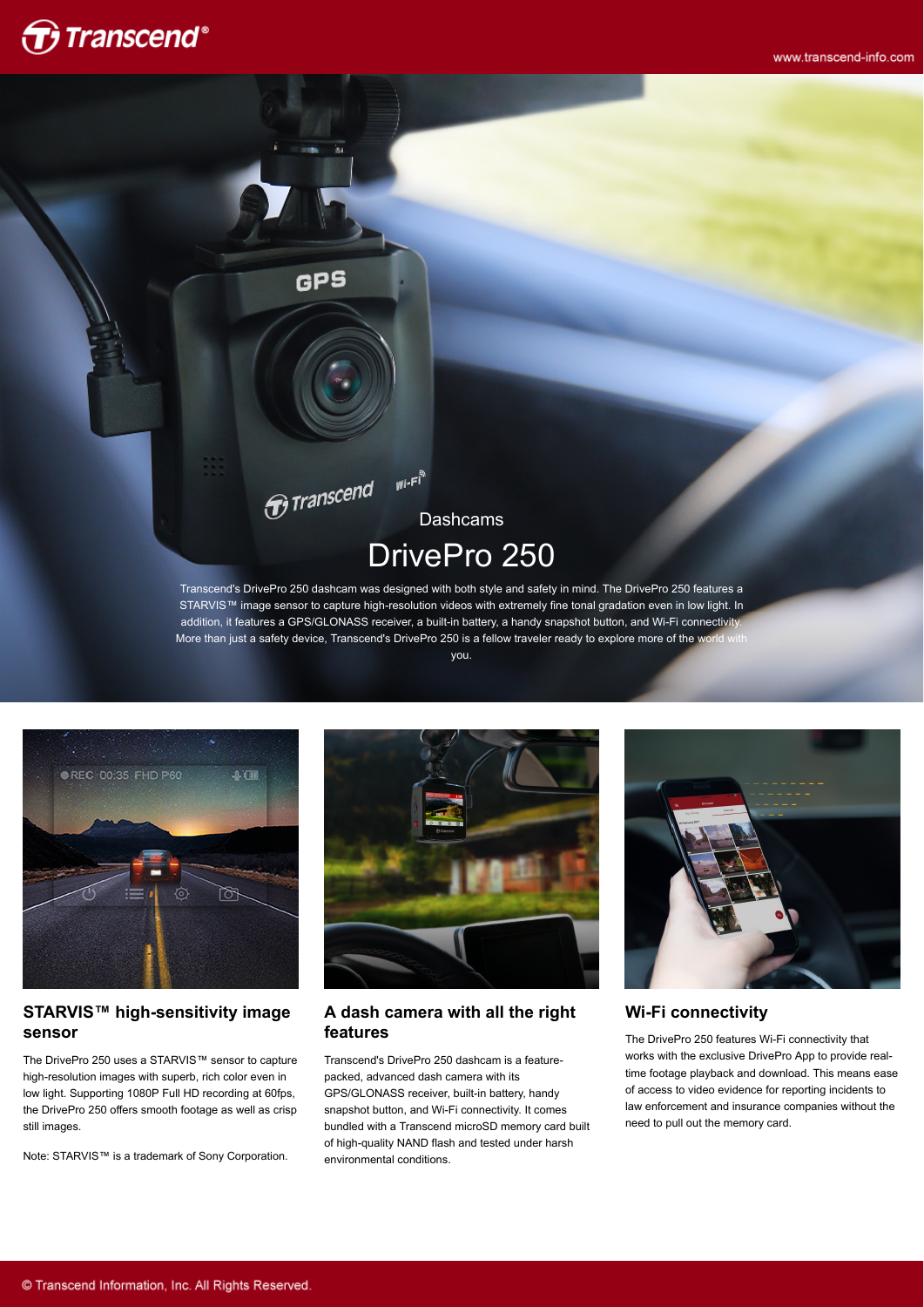

Dashcams DrivePro 250

 $W^{i-F^{\frac{3}{n}}}$ 

GPS

 $\widehat{\boldsymbol{\sigma}}$ Transcend

Transcend's DrivePro 250 dashcam was designed with both style and safety in mind. The DrivePro 250 features a STARVIS™ image sensor to capture high-resolution videos with extremely fine tonal gradation even in low light. In addition, it features a GPS/GLONASS receiver, a built-in battery, a handy snapshot button, and Wi-Fi connectivity. More than just a safety device, Transcend's DrivePro 250 is a fellow traveler ready to explore more of the world with

you.



#### **STARVIS™ high-sensitivity image sensor**

The DrivePro 250 uses a STARVIS™ sensor to capture high-resolution images with superb, rich color even in low light. Supporting 1080P Full HD recording at 60fps, the DrivePro 250 offers smooth footage as well as crisp still images.

Note: STARVIS™ is a trademark of Sony Corporation.



#### **A dash camera with all the right features**

Transcend's DrivePro 250 dashcam is a featurepacked, advanced dash camera with its GPS/GLONASS receiver, built-in battery, handy snapshot button, and Wi-Fi connectivity. It comes bundled with a Transcend microSD memory card built of high-quality NAND flash and tested under harsh environmental conditions.



#### **Wi-Fi connectivity**

The DrivePro 250 features Wi-Fi connectivity that works with the exclusive DrivePro App to provide realtime footage playback and download. This means ease of access to video evidence for reporting incidents to law enforcement and insurance companies without the need to pull out the memory card.